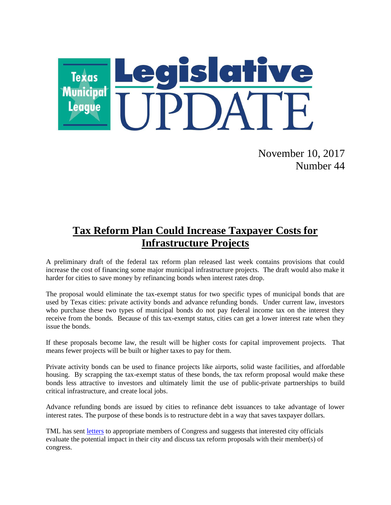

November 10, 2017 Number 44

## **Tax Reform Plan Could Increase Taxpayer Costs for Infrastructure Projects**

A preliminary draft of the federal tax reform plan released last week contains provisions that could increase the cost of financing some major municipal infrastructure projects. The draft would also make it harder for cities to save money by refinancing bonds when interest rates drop.

The proposal would eliminate the tax-exempt status for two specific types of municipal bonds that are used by Texas cities: private activity bonds and advance refunding bonds. Under current law, investors who purchase these two types of municipal bonds do not pay federal income tax on the interest they receive from the bonds. Because of this tax-exempt status, cities can get a lower interest rate when they issue the bonds.

If these proposals become law, the result will be higher costs for capital improvement projects. That means fewer projects will be built or higher taxes to pay for them.

Private activity bonds can be used to finance projects like airports, solid waste facilities, and affordable housing. By scrapping the tax-exempt status of these bonds, the tax reform proposal would make these bonds less attractive to investors and ultimately limit the use of public-private partnerships to build critical infrastructure, and create local jobs.

Advance refunding bonds are issued by cities to refinance debt issuances to take advantage of lower interest rates. The purpose of these bonds is to restructure debt in a way that saves taxpayer dollars.

TML has sent [letters](https://www.tml.org/p/TML%20Tax%20Reform%20Letters.pdf) to appropriate members of Congress and suggests that interested city officials evaluate the potential impact in their city and discuss tax reform proposals with their member(s) of congress.